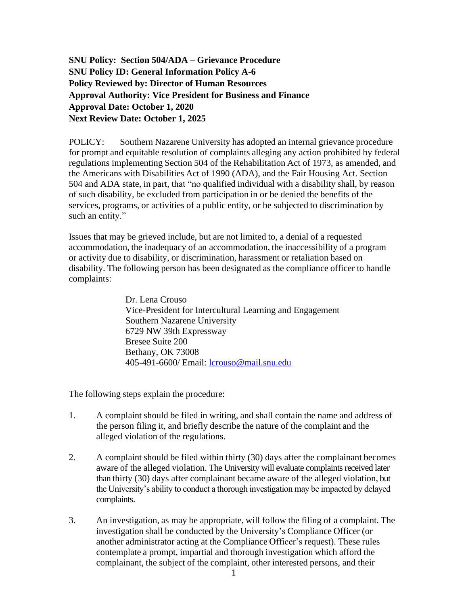**SNU Policy: Section 504/ADA – Grievance Procedure SNU Policy ID: General Information Policy A-6 Policy Reviewed by: Director of Human Resources Approval Authority: Vice President for Business and Finance Approval Date: October 1, 2020 Next Review Date: October 1, 2025**

POLICY: Southern Nazarene University has adopted an internal grievance procedure for prompt and equitable resolution of complaints alleging any action prohibited by federal regulations implementing Section 504 of the Rehabilitation Act of 1973, as amended, and the Americans with Disabilities Act of 1990 (ADA), and the Fair Housing Act. Section 504 and ADA state, in part, that "no qualified individual with a disability shall, by reason of such disability, be excluded from participation in or be denied the benefits of the services, programs, or activities of a public entity, or be subjected to discrimination by such an entity."

Issues that may be grieved include, but are not limited to, a denial of a requested accommodation, the inadequacy of an accommodation, the inaccessibility of a program or activity due to disability, or discrimination, harassment or retaliation based on disability. The following person has been designated as the compliance officer to handle complaints:

> Dr. Lena Crouso Vice-President for Intercultural Learning and Engagement Southern Nazarene University 6729 NW 39th Expressway Bresee Suite 200 Bethany, OK 73008 405-491-6600/ Email: [lcrouso@mail.snu.edu](mailto:lcrouso@mail.snu.edu)

The following steps explain the procedure:

- 1. A complaint should be filed in writing, and shall contain the name and address of the person filing it, and briefly describe the nature of the complaint and the alleged violation of the regulations.
- 2. A complaint should be filed within thirty (30) days after the complainant becomes aware of the alleged violation. The University will evaluate complaints received later than thirty (30) days after complainant became aware of the alleged violation, but the University's ability to conduct a thorough investigation may be impacted by delayed complaints.
- 3. An investigation, as may be appropriate, will follow the filing of a complaint. The investigation shall be conducted by the University's Compliance Officer (or another administrator acting at the Compliance Officer's request). These rules contemplate a prompt, impartial and thorough investigation which afford the complainant, the subject of the complaint, other interested persons, and their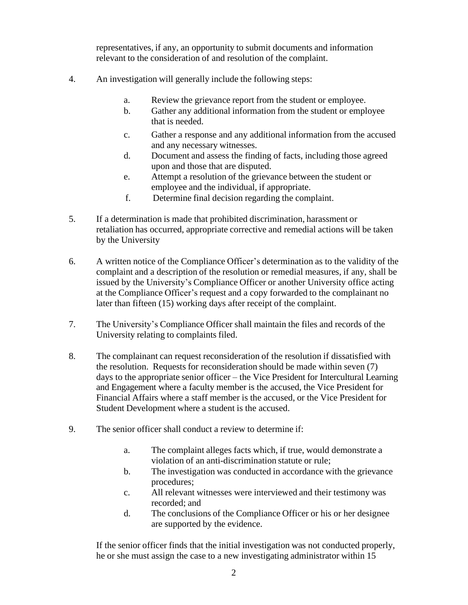representatives, if any, an opportunity to submit documents and information relevant to the consideration of and resolution of the complaint.

- 4. An investigation will generally include the following steps:
	- a. Review the grievance report from the student or employee.
	- b. Gather any additional information from the student or employee that is needed.
	- c. Gather a response and any additional information from the accused and any necessary witnesses.
	- d. Document and assess the finding of facts, including those agreed upon and those that are disputed.
	- e. Attempt a resolution of the grievance between the student or employee and the individual, if appropriate.
	- f. Determine final decision regarding the complaint.
- 5. If a determination is made that prohibited discrimination, harassment or retaliation has occurred, appropriate corrective and remedial actions will be taken by the University
- 6. A written notice of the Compliance Officer's determination as to the validity of the complaint and a description of the resolution or remedial measures, if any, shall be issued by the University's Compliance Officer or another University office acting at the Compliance Officer's request and a copy forwarded to the complainant no later than fifteen (15) working days after receipt of the complaint.
- 7. The University's Compliance Officer shall maintain the files and records of the University relating to complaints filed.
- 8. The complainant can request reconsideration of the resolution if dissatisfied with the resolution. Requests for reconsideration should be made within seven (7) days to the appropriate senior officer – the Vice President for Intercultural Learning and Engagement where a faculty member is the accused, the Vice President for Financial Affairs where a staff member is the accused, or the Vice President for Student Development where a student is the accused.
- 9. The senior officer shall conduct a review to determine if:
	- a. The complaint alleges facts which, if true, would demonstrate a violation of an anti-discrimination statute or rule;
	- b. The investigation was conducted in accordance with the grievance procedures;
	- c. All relevant witnesses were interviewed and their testimony was recorded; and
	- d. The conclusions of the Compliance Officer or his or her designee are supported by the evidence.

If the senior officer finds that the initial investigation was not conducted properly, he or she must assign the case to a new investigating administrator within 15